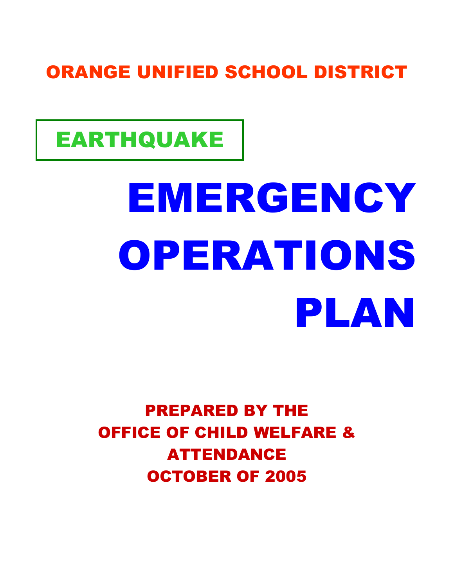### ORANGE UNIFIED SCHOOL DISTRICT

# EARTHQUAKE

# EMERGENCY OPERATIONS PLAN

PREPARED BY THE OFFICE OF CHILD WELFARE & ATTENDANCE OCTOBER OF 2005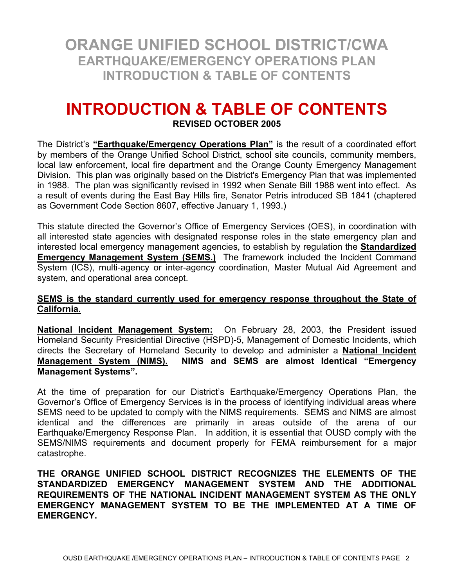**ORANGE UNIFIED SCHOOL DISTRICT/CWA EARTHQUAKE/EMERGENCY OPERATIONS PLAN INTRODUCTION & TABLE OF CONTENTS** 

#### **INTRODUCTION & TABLE OF CONTENTS REVISED OCTOBER 2005**

The District's **"Earthquake/Emergency Operations Plan"** is the result of a coordinated effort by members of the Orange Unified School District, school site councils, community members, local law enforcement, local fire department and the Orange County Emergency Management Division. This plan was originally based on the District's Emergency Plan that was implemented in 1988. The plan was significantly revised in 1992 when Senate Bill 1988 went into effect. As a result of events during the East Bay Hills fire, Senator Petris introduced SB 1841 (chaptered as Government Code Section 8607, effective January 1, 1993.)

This statute directed the Governor's Office of Emergency Services (OES), in coordination with all interested state agencies with designated response roles in the state emergency plan and interested local emergency management agencies, to establish by regulation the **Standardized Emergency Management System (SEMS.)** The framework included the Incident Command System (ICS), multi-agency or inter-agency coordination, Master Mutual Aid Agreement and system, and operational area concept.

#### **SEMS is the standard currently used for emergency response throughout the State of California.**

**National Incident Management System:** On February 28, 2003, the President issued Homeland Security Presidential Directive (HSPD)-5, Management of Domestic Incidents, which directs the Secretary of Homeland Security to develop and administer a **National Incident Management System (NIMS). NIMS and SEMS are almost Identical "Emergency Management Systems".**

At the time of preparation for our District's Earthquake/Emergency Operations Plan, the Governor's Office of Emergency Services is in the process of identifying individual areas where SEMS need to be updated to comply with the NIMS requirements. SEMS and NIMS are almost identical and the differences are primarily in areas outside of the arena of our Earthquake/Emergency Response Plan. In addition, it is essential that OUSD comply with the SEMS/NIMS requirements and document properly for FEMA reimbursement for a major catastrophe.

**THE ORANGE UNIFIED SCHOOL DISTRICT RECOGNIZES THE ELEMENTS OF THE STANDARDIZED EMERGENCY MANAGEMENT SYSTEM AND THE ADDITIONAL REQUIREMENTS OF THE NATIONAL INCIDENT MANAGEMENT SYSTEM AS THE ONLY EMERGENCY MANAGEMENT SYSTEM TO BE THE IMPLEMENTED AT A TIME OF EMERGENCY.**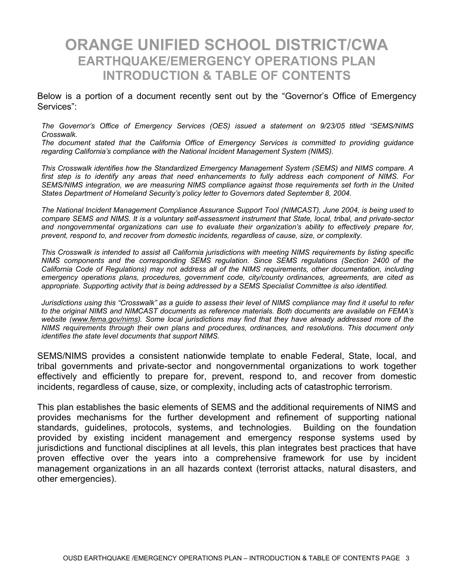#### **ORANGE UNIFIED SCHOOL DISTRICT/CWA EARTHQUAKE/EMERGENCY OPERATIONS PLAN INTRODUCTION & TABLE OF CONTENTS**

Below is a portion of a document recently sent out by the "Governor's Office of Emergency Services":

*The Governor's Office of Emergency Services (OES) issued a statement on 9/23/05 titled "SEMS/NIMS Crosswalk.* 

*The document stated that the California Office of Emergency Services is committed to providing guidance regarding California's compliance with the National Incident Management System (NIMS).* 

*This Crosswalk identifies how the Standardized Emergency Management System (SEMS) and NIMS compare. A first step is to identify any areas that need enhancements to fully address each component of NIMS. For SEMS/NIMS integration, we are measuring NIMS compliance against those requirements set forth in the United States Department of Homeland Security's policy letter to Governors dated September 8, 2004.* 

*The National Incident Management Compliance Assurance Support Tool (NIMCAST), June 2004, is being used to compare SEMS and NIMS. It is a voluntary self-assessment instrument that State, local, tribal, and private-sector and nongovernmental organizations can use to evaluate their organization's ability to effectively prepare for, prevent, respond to, and recover from domestic incidents, regardless of cause, size, or complexity.* 

*This Crosswalk is intended to assist all California jurisdictions with meeting NIMS requirements by listing specific NIMS components and the corresponding SEMS regulation. Since SEMS regulations (Section 2400 of the California Code of Regulations) may not address all of the NIMS requirements, other documentation, including emergency operations plans, procedures, government code, city/county ordinances, agreements, are cited as appropriate. Supporting activity that is being addressed by a SEMS Specialist Committee is also identified.* 

*Jurisdictions using this "Crosswalk" as a guide to assess their level of NIMS compliance may find it useful to refer to the original NIMS and NIMCAST documents as reference materials. Both documents are available on FEMA's website (www.fema.gov/nims). Some local jurisdictions may find that they have already addressed more of the NIMS requirements through their own plans and procedures, ordinances, and resolutions. This document only identifies the state level documents that support NIMS.* 

SEMS/NIMS provides a consistent nationwide template to enable Federal, State, local, and tribal governments and private-sector and nongovernmental organizations to work together effectively and efficiently to prepare for, prevent, respond to, and recover from domestic incidents, regardless of cause, size, or complexity, including acts of catastrophic terrorism.

This plan establishes the basic elements of SEMS and the additional requirements of NIMS and provides mechanisms for the further development and refinement of supporting national standards, guidelines, protocols, systems, and technologies. Building on the foundation provided by existing incident management and emergency response systems used by jurisdictions and functional disciplines at all levels, this plan integrates best practices that have proven effective over the years into a comprehensive framework for use by incident management organizations in an all hazards context (terrorist attacks, natural disasters, and other emergencies).